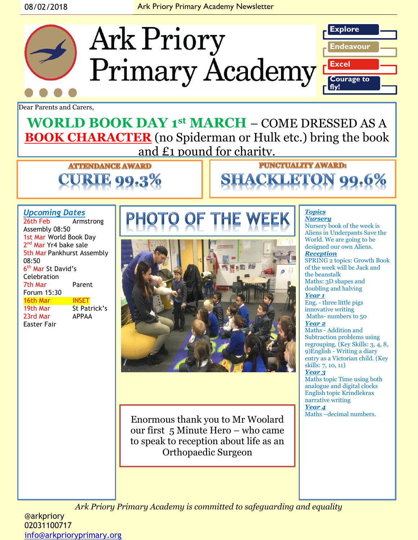#### 08/02/2018 **Ark Priory Primary Academy Newsletter**

**Ark Priory** 



Dear Parents and Carers,

**WORLD BOOK DAY 1st MARCH** – COME DRESSED AS A **BOOK CHARACTER** (no Spiderman or Hulk etc.) bring the book and £1 pound for charity.

> **ATTENDANCE AWARD** KIE 00

#### *Upcoming Dates*

| 26th Feb                          | Armstrong    |  |  |
|-----------------------------------|--------------|--|--|
| Assembly 08:50                    |              |  |  |
| 1st Mar World Book Day            |              |  |  |
| 2 <sup>nd</sup> Mar Yr4 bake sale |              |  |  |
| 5th Mar Pankhurst Assembly        |              |  |  |
| 08:50                             |              |  |  |
| 6 <sup>th</sup> Mar St David's    |              |  |  |
| Celebration                       |              |  |  |
| 7th Mar                           | Parent       |  |  |
| Forum 15:30                       |              |  |  |
| 16th Mar                          | <b>INSET</b> |  |  |
| 19th Mar                          | St Patrick's |  |  |
| 23rd Mar                          | <b>APPAA</b> |  |  |
| Easter Fair                       |              |  |  |



Enormous thank you to Mr Woolard  $\left\| \right\|$ <sup>Maths-decimal numbers.</sup> our first 5 Minute Hero – who came to speak to reception about life as an Orthopaedic Surgeon

#### *Topics Nursery*

Nursery book of the week is Aliens in Underpants Save the World. We are going to be designed our own Aliens. *Reception*  SPRING 2 topics: Growth Book of the week will be Jack and the beanstalk

Maths: 3D shapes and doubling and halving *Year 1*

Eng. - three little pigs innovative writing Maths- numbers to 50 *Year 2*

Maths - Addition and Subtraction problems using regrouping. (Key Skills: 3, 4, 8, 9)English - Writing a diary entry as a Victorian child. (Key skills: 7, 10, 11)

*Year 3*

Maths topic Time using both analogue and digital clocks English topic Krindlekrax narrative writing *Year 4*

*Ark Priory Primary Academy is committed to safeguarding and equality* 

@arkpriory 02031100717 [info@arkprioryprimary.org](mailto:info@arkprioryprimary.org)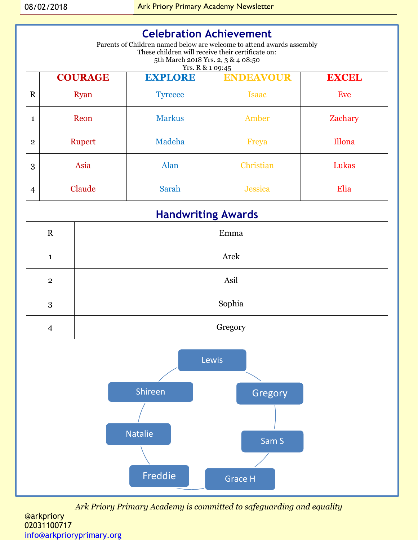### **Celebration Achievement**

Parents of Children named below are welcome to attend awards assembly These children will receive their certificate on: 5th March 2018 Yrs. 2, 3 & 4 08:50 Yrs. R & 1 09:45

|                | <b>COURAGE</b> | <b>EXPLORE</b> | $-2.10$<br><b>ENDEAVOUR</b> | <b>EXCEL</b> |
|----------------|----------------|----------------|-----------------------------|--------------|
| $\mathbf R$    | <b>Ryan</b>    | <b>Tyreece</b> | <b>Isaac</b>                | Eve          |
| 1              | Reon           | <b>Markus</b>  | Amber                       | Zachary      |
| $\overline{2}$ | Rupert         | Madeha         | Freya                       | Illona       |
| 3              | Asia           | Alan           | Christian                   | Lukas        |
| 4              | Claude         | Sarah          | <b>Jessica</b>              | Elia         |

### **Handwriting Awards**

| $\mathbf R$    | Emma    |
|----------------|---------|
| $\mathbf{1}$   | Arek    |
| $\overline{2}$ | Asil    |
| 3              | Sophia  |
| $\overline{4}$ | Gregory |



*Ark Priory Primary Academy is committed to safeguarding and equality*  @arkpriory 02031100717 [info@arkprioryprimary.org](mailto:info@arkprioryprimary.org)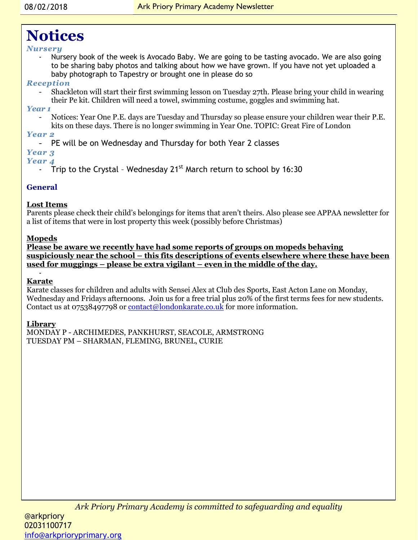# **Notices**

#### *Nursery*

- Nursery book of the week is Avocado Baby. We are going to be tasting avocado. We are also going to be sharing baby photos and talking about how we have grown. If you have not yet uploaded a baby photograph to Tapestry or brought one in please do so

#### *Reception*

- Shackleton will start their first swimming lesson on Tuesday 27th. Please bring your child in wearing their Pe kit. Children will need a towel, swimming costume, goggles and swimming hat.

#### *Year 1*

- Notices: Year One P.E. days are Tuesday and Thursday so please ensure your children wear their P.E. kits on these days. There is no longer swimming in Year One. TOPIC: Great Fire of London

### *Year 2*

- PE will be on Wednesday and Thursday for both Year 2 classes

#### *Year 3*

#### *Year 4*

- Trip to the Crystal - Wednesday  $21^{st}$  March return to school by 16:30

#### **General**

#### **Lost Items**

Parents please check their child's belongings for items that aren't theirs. Also please see APPAA newsletter for a list of items that were in lost property this week (possibly before Christmas)

#### **Mopeds**

**Please be aware we recently have had some reports of groups on mopeds behaving suspiciously near the school – this fits descriptions of events elsewhere where these have been used for muggings – please be extra vigilant – even in the middle of the day.**

#### - **Karate**

Karate classes for children and adults with Sensei Alex at Club des Sports, East Acton Lane on Monday, Wednesday and Fridays afternoons. Join us for a free trial plus 20% of the first terms fees for new students. Contact us at 07538497798 or [contact@londonkarate.co.uk](mailto:contact@londonkarate.co.uk) for more information.

#### **Library**

MONDAY P - ARCHIMEDES, PANKHURST, SEACOLE, ARMSTRONG TUESDAY PM – SHARMAN, FLEMING, BRUNEL, CURIE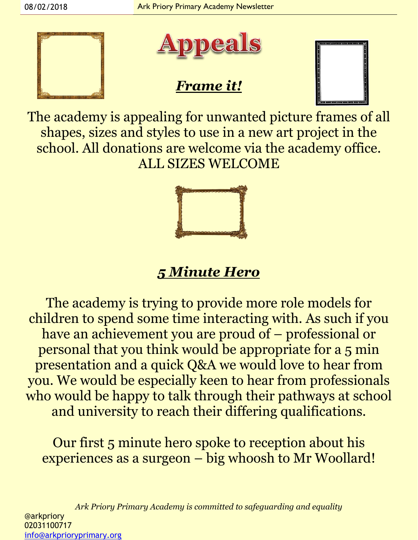



## *Frame it!*



The academy is appealing for unwanted picture frames of all shapes, sizes and styles to use in a new art project in the school. All donations are welcome via the academy office. ALL SIZES WELCOME



# *5 Minute Hero*

The academy is trying to provide more role models for children to spend some time interacting with. As such if you have an achievement you are proud of – professional or personal that you think would be appropriate for a 5 min presentation and a quick Q&A we would love to hear from you. We would be especially keen to hear from professionals who would be happy to talk through their pathways at school and university to reach their differing qualifications.

Our first 5 minute hero spoke to reception about his experiences as a surgeon – big whoosh to Mr Woollard!

*Ark Priory Primary Academy is committed to safeguarding and equality*  @arkpriory 02031100717 [info@arkprioryprimary.org](mailto:info@arkprioryprimary.org)